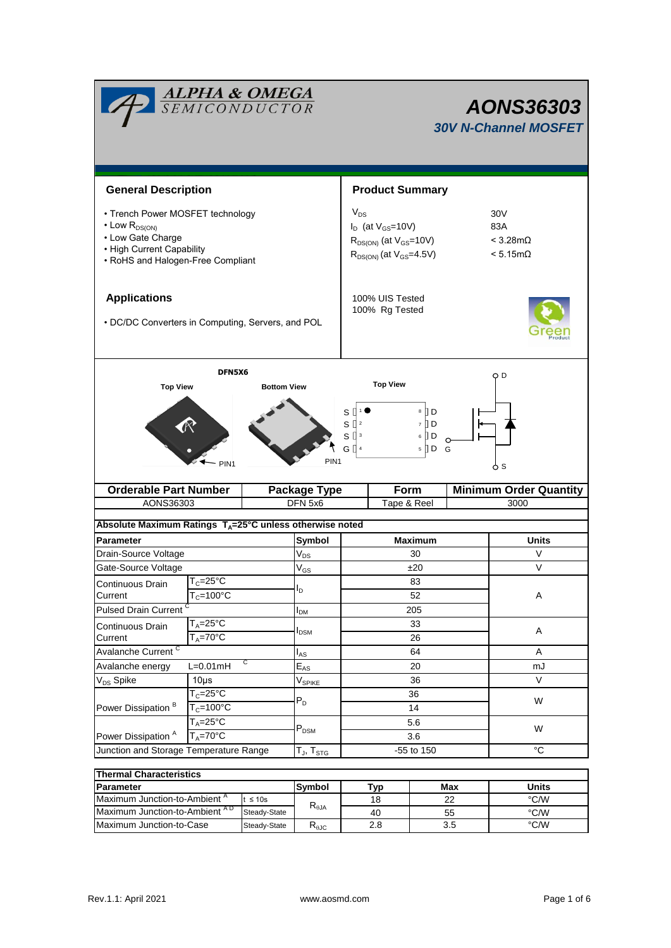|                                                                                                                                                                              | <u>ALPHA &amp; OMEGA</u><br>SEMICONDUCTOR |                                   |                                                                                                 |                            |            |                                                    |                                       | <b>AONS36303</b><br><b>30V N-Channel MOSFET</b> |  |  |
|------------------------------------------------------------------------------------------------------------------------------------------------------------------------------|-------------------------------------------|-----------------------------------|-------------------------------------------------------------------------------------------------|----------------------------|------------|----------------------------------------------------|---------------------------------------|-------------------------------------------------|--|--|
| <b>General Description</b>                                                                                                                                                   |                                           |                                   |                                                                                                 | <b>Product Summary</b>     |            |                                                    |                                       |                                                 |  |  |
| • Trench Power MOSFET technology<br>$\cdot$ Low $R_{DS(ON)}$<br>• Low Gate Charge<br>• High Current Capability<br>• RoHS and Halogen-Free Compliant                          |                                           | $V_{DS}$                          | $I_D$ (at $V_{GS}$ =10V)<br>$R_{DS(ON)}$ (at $V_{GS}$ =10V)<br>$R_{DS(ON)}$ (at $V_{GS}$ =4.5V) |                            | 30V<br>83A | $< 3.28 \text{m}\Omega$<br>$< 5.15 \text{m}\Omega$ |                                       |                                                 |  |  |
| <b>Applications</b><br>• DC/DC Converters in Computing, Servers, and POL                                                                                                     |                                           | 100% UIS Tested<br>100% Rg Tested |                                                                                                 |                            |            |                                                    |                                       |                                                 |  |  |
| <b>Top View</b>                                                                                                                                                              | DFN5X6<br><b>Bottom View</b>              |                                   |                                                                                                 | <b>Top View</b>            |            |                                                    | O D                                   |                                                 |  |  |
| 8 D<br>S<br>$S \parallel$ <sup>2</sup><br>li d<br>$\overline{7}$<br>$S^{\prod 3}$<br>[] D<br>6<br>ᠬ<br>G $\prod$ 4<br>$5$ D G<br>PIN <sub>1</sub><br>PIN <sub>1</sub><br>6 S |                                           |                                   |                                                                                                 |                            |            |                                                    |                                       |                                                 |  |  |
| <b>Orderable Part Number</b><br>AONS36303                                                                                                                                    |                                           | <b>Package Type</b><br>DFN 5x6    |                                                                                                 | <b>Form</b><br>Tape & Reel |            |                                                    | <b>Minimum Order Quantity</b><br>3000 |                                                 |  |  |
| Absolute Maximum Ratings $T_A = 25^\circ \text{C}$ unless otherwise noted                                                                                                    |                                           |                                   |                                                                                                 |                            |            |                                                    |                                       |                                                 |  |  |
| <b>Parameter</b>                                                                                                                                                             |                                           |                                   | Symbol                                                                                          |                            |            | <b>Maximum</b>                                     |                                       | Units                                           |  |  |
| Drain-Source Voltage                                                                                                                                                         |                                           |                                   | $V_{DS}$                                                                                        | 30                         |            |                                                    |                                       | V                                               |  |  |
| Gate-Source Voltage                                                                                                                                                          |                                           |                                   | $V_{GS}$                                                                                        | ±20                        |            |                                                    | V                                     |                                                 |  |  |
| Continuous Drain                                                                                                                                                             | $T_c = 25^{\circ}C$                       |                                   |                                                                                                 |                            |            | 83                                                 |                                       |                                                 |  |  |
| Current                                                                                                                                                                      | $T_c = 100^{\circ}$ C                     |                                   | סי                                                                                              | 52                         |            |                                                    | Α                                     |                                                 |  |  |
| <b>Pulsed Drain Current</b>                                                                                                                                                  |                                           |                                   | $I_{DM}$                                                                                        |                            |            | 205                                                |                                       |                                                 |  |  |
| Continuous Drain                                                                                                                                                             | $T_A = 25$ °C                             |                                   |                                                                                                 |                            | 33         |                                                    |                                       |                                                 |  |  |
| Current                                                                                                                                                                      | $T_A = 70$ °C                             |                                   | I <sub>DSM</sub>                                                                                | 26                         |            |                                                    |                                       | Α                                               |  |  |
| Avalanche Current <sup>C</sup>                                                                                                                                               |                                           |                                   | $I_{AS}$                                                                                        |                            |            | 64                                                 |                                       | Α                                               |  |  |
| Avalanche energy                                                                                                                                                             | С<br>$L=0.01$ mH                          |                                   |                                                                                                 | 20                         |            |                                                    |                                       | mJ                                              |  |  |
| V <sub>DS</sub> Spike                                                                                                                                                        | $10\mus$                                  |                                   | $E_{AS}$<br>V <sub>SPIKE</sub>                                                                  | 36                         |            |                                                    |                                       | V                                               |  |  |
|                                                                                                                                                                              | $T_c = 25^\circ C$                        |                                   | $P_D$                                                                                           | 36<br>14                   |            |                                                    |                                       | W                                               |  |  |
| Power Dissipation <sup>B</sup>                                                                                                                                               | $T_c = 100^{\circ}$ C                     |                                   |                                                                                                 |                            |            |                                                    |                                       |                                                 |  |  |
|                                                                                                                                                                              | $T_A = 25\overline{{}^{\circ}\text{C}}$   |                                   | $P_{DSM}$                                                                                       | 5.6                        |            |                                                    |                                       | W                                               |  |  |
| $T_A = 70$ °C<br>Power Dissipation <sup>A</sup>                                                                                                                              |                                           |                                   |                                                                                                 | 3.6                        |            |                                                    |                                       |                                                 |  |  |
| Junction and Storage Temperature Range                                                                                                                                       |                                           |                                   | $T_J$ , $T_{STG}$                                                                               | -55 to 150                 |            |                                                    |                                       | $^{\circ}C$                                     |  |  |
| <b>Thermal Characteristics</b>                                                                                                                                               |                                           |                                   |                                                                                                 |                            |            |                                                    |                                       |                                                 |  |  |
| Parameter                                                                                                                                                                    |                                           |                                   | Symbol                                                                                          | Typ                        |            |                                                    | <b>Max</b>                            |                                                 |  |  |
| Maximum Junction-to-Ambient <sup>A</sup><br>$t \leq 10s$                                                                                                                     |                                           |                                   |                                                                                                 |                            |            |                                                    |                                       |                                                 |  |  |
|                                                                                                                                                                              |                                           |                                   |                                                                                                 |                            | 18         |                                                    | 22                                    | <b>Units</b><br>°C/W                            |  |  |
| Maximum Junction-to-Ambient AD                                                                                                                                               |                                           | Steady-State                      | $R_{\theta$ JA                                                                                  |                            | 40         |                                                    | 55                                    | $\degree$ C/W                                   |  |  |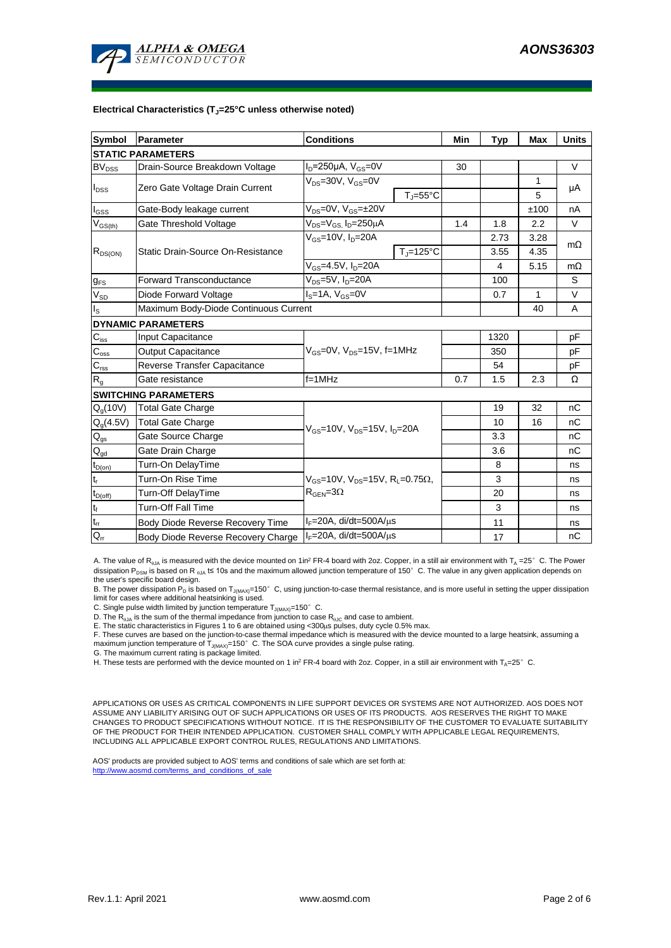

#### **Electrical Characteristics (TJ=25°C unless otherwise noted)**

| <b>Symbol</b>                          | Parameter                                                               | <b>Conditions</b>                                                                           |                     | Min | <b>Typ</b> | <b>Max</b>   | <b>Units</b> |  |  |  |  |  |
|----------------------------------------|-------------------------------------------------------------------------|---------------------------------------------------------------------------------------------|---------------------|-----|------------|--------------|--------------|--|--|--|--|--|
| <b>STATIC PARAMETERS</b>               |                                                                         |                                                                                             |                     |     |            |              |              |  |  |  |  |  |
| $BV_{DSS}$                             | Drain-Source Breakdown Voltage                                          | $I_D = 250 \mu A$ , $V_{GS} = 0V$                                                           |                     | 30  |            |              | $\vee$       |  |  |  |  |  |
| $I_{DSS}$                              | Zero Gate Voltage Drain Current                                         | $V_{DS}$ =30V, $V_{GS}$ =0V                                                                 |                     |     |            | 1            | μA           |  |  |  |  |  |
|                                        |                                                                         |                                                                                             | $T_J = 55^{\circ}C$ |     |            | 5            |              |  |  |  |  |  |
| $\mathsf{l}_{\mathsf{GSS}}$            | Gate-Body leakage current                                               | $V_{DS} = 0V$ , $V_{GS} = \pm 20V$                                                          |                     |     |            | ±100         | nA           |  |  |  |  |  |
| $V_{GS(th)}$                           | Gate Threshold Voltage                                                  | $V_{DS} = V_{GS}$ , $I_D = 250 \mu A$                                                       |                     | 1.4 | 1.8        | 2.2          | $\vee$       |  |  |  |  |  |
| $R_{DS(ON)}$                           | Static Drain-Source On-Resistance                                       | $V_{GS}$ =10V, $I_{D}$ =20A                                                                 |                     |     | 2.73       | 3.28         | $m\Omega$    |  |  |  |  |  |
|                                        |                                                                         |                                                                                             | $T_J = 125$ °C      |     | 3.55       | 4.35         |              |  |  |  |  |  |
|                                        |                                                                         | $V_{GS} = 4.5V, I_D = 20A$                                                                  |                     | 4   | 5.15       | $m\Omega$    |              |  |  |  |  |  |
| $g_{FS}$                               | <b>Forward Transconductance</b>                                         | $V_{DS}$ =5V, $I_D$ =20A                                                                    |                     |     | 100        |              | S            |  |  |  |  |  |
| $V_{SD}$                               | $IS=1A, VGS=0V$<br>Diode Forward Voltage                                |                                                                                             |                     |     | 0.7        | $\mathbf{1}$ | V            |  |  |  |  |  |
| Is                                     | Maximum Body-Diode Continuous Current                                   |                                                                                             |                     | 40  | A          |              |              |  |  |  |  |  |
|                                        | <b>DYNAMIC PARAMETERS</b>                                               |                                                                                             |                     |     |            |              |              |  |  |  |  |  |
| $C_{\text{iss}}$                       | Input Capacitance                                                       | $V_{GS}$ =0V, $V_{DS}$ =15V, f=1MHz                                                         |                     |     | 1320       |              | pF           |  |  |  |  |  |
| $C_{\rm oss}$                          | <b>Output Capacitance</b>                                               |                                                                                             |                     |     | 350        |              | pF           |  |  |  |  |  |
| $C_{\text{rss}}$                       | Reverse Transfer Capacitance                                            |                                                                                             |                     | 54  |            | рF           |              |  |  |  |  |  |
| $R_{g}$                                | Gate resistance                                                         | $f = 1$ MHz                                                                                 |                     | 0.7 | 1.5        | 2.3          | Ω            |  |  |  |  |  |
|                                        | <b>SWITCHING PARAMETERS</b>                                             |                                                                                             |                     |     |            |              |              |  |  |  |  |  |
| $Q_q(10V)$                             | <b>Total Gate Charge</b>                                                | $V_{GS}$ =10V, $V_{DS}$ =15V, $I_{D}$ =20A                                                  |                     |     | 19         | 32           | nC           |  |  |  |  |  |
| $Q_q(4.5V)$                            | <b>Total Gate Charge</b>                                                |                                                                                             |                     |     | 10         | 16           | nC           |  |  |  |  |  |
| $Q_{gs}$                               | Gate Source Charge                                                      |                                                                                             |                     |     | 3.3        |              | nC           |  |  |  |  |  |
| $\mathsf{Q}_{\underline{\mathsf{gd}}}$ | Gate Drain Charge                                                       |                                                                                             |                     |     | 3.6        |              | nC           |  |  |  |  |  |
| $t_{D(on)}$                            | Turn-On DelayTime                                                       |                                                                                             |                     |     | 8          |              | ns           |  |  |  |  |  |
| t,                                     | Turn-On Rise Time                                                       | $V_{GS}$ =10V, $V_{DS}$ =15V, R <sub>L</sub> =0.75 $\Omega$ ,<br>$R_{\text{GEN}} = 3\Omega$ |                     |     | 3          |              | ns           |  |  |  |  |  |
| $t_{D(off)}$                           | Turn-Off DelayTime                                                      |                                                                                             |                     |     | 20         |              | ns           |  |  |  |  |  |
| $t_f$                                  | <b>Turn-Off Fall Time</b>                                               |                                                                                             |                     |     | 3          |              | ns           |  |  |  |  |  |
| $\mathsf{t}_\mathsf{rr}$               | Body Diode Reverse Recovery Time                                        | $I_F = 20A$ , di/dt=500A/ $\mu$ s                                                           |                     | 11  |            | ns           |              |  |  |  |  |  |
| $Q_{rr}$                               | $I_F = 20A$ , di/dt=500A/ $\mu$ s<br>Body Diode Reverse Recovery Charge |                                                                                             |                     | 17  |            | nC           |              |  |  |  |  |  |

A. The value of R<sub>0JA</sub> is measured with the device mounted on 1in<sup>2</sup> FR-4 board with 2oz. Copper, in a still air environment with T<sub>A</sub> =25° C. The Power dissipation P<sub>DSM</sub> is based on R <sub>0JA</sub> t≤ 10s and the maximum allowed junction temperature of 150°C. The value in any given application depends on the user's specific board design.

B. The power dissipation P<sub>D</sub> is based on T<sub>J(MAX)</sub>=150°C, using junction-to-case thermal resistance, and is more useful in setting the upper dissipation<br>limit for cases where additional heatsinking is used.

C. Single pulse width limited by junction temperature  $T_{J(MAX)}$ =150°C.

D. The  $R_{qJA}$  is the sum of the thermal impedance from junction to case  $R_{qJC}$  and case to ambient.

E. The static characteristics in Figures 1 to 6 are obtained using <300us pulses, duty cycle 0.5% max.

F. These curves are based on the junction-to-case thermal impedance which is measured with the device mounted to a large heatsink, assuming a maximum junction temperature of  $T_{J(MAX)}$ =150°C. The SOA curve provides a single pulse rating.

G. The maximum current rating is package limited.

H. These tests are performed with the device mounted on 1 in<sup>2</sup> FR-4 board with 2oz. Copper, in a still air environment with T<sub>A</sub>=25°C.

APPLICATIONS OR USES AS CRITICAL COMPONENTS IN LIFE SUPPORT DEVICES OR SYSTEMS ARE NOT AUTHORIZED. AOS DOES NOT ASSUME ANY LIABILITY ARISING OUT OF SUCH APPLICATIONS OR USES OF ITS PRODUCTS. AOS RESERVES THE RIGHT TO MAKE CHANGES TO PRODUCT SPECIFICATIONS WITHOUT NOTICE. IT IS THE RESPONSIBILITY OF THE CUSTOMER TO EVALUATE SUITABILITY OF THE PRODUCT FOR THEIR INTENDED APPLICATION. CUSTOMER SHALL COMPLY WITH APPLICABLE LEGAL REQUIREMENTS, INCLUDING ALL APPLICABLE EXPORT CONTROL RULES, REGULATIONS AND LIMITATIONS.

AOS' products are provided subject to AOS' terms and conditions of sale which are set forth at: http://www.aosmd.com/terms\_and\_conditions\_of\_sale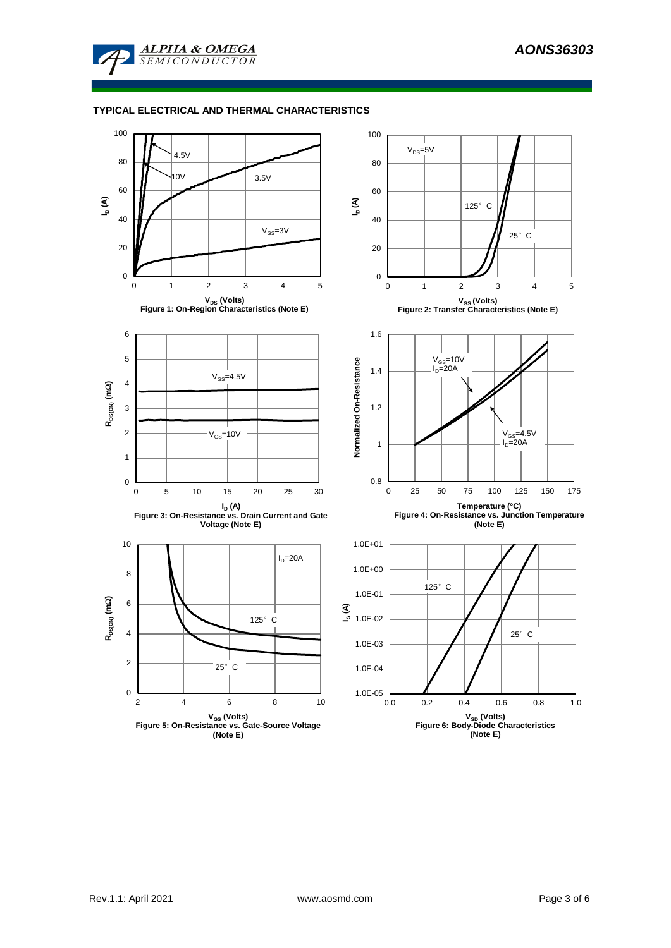

### **TYPICAL ELECTRICAL AND THERMAL CHARACTERISTICS**

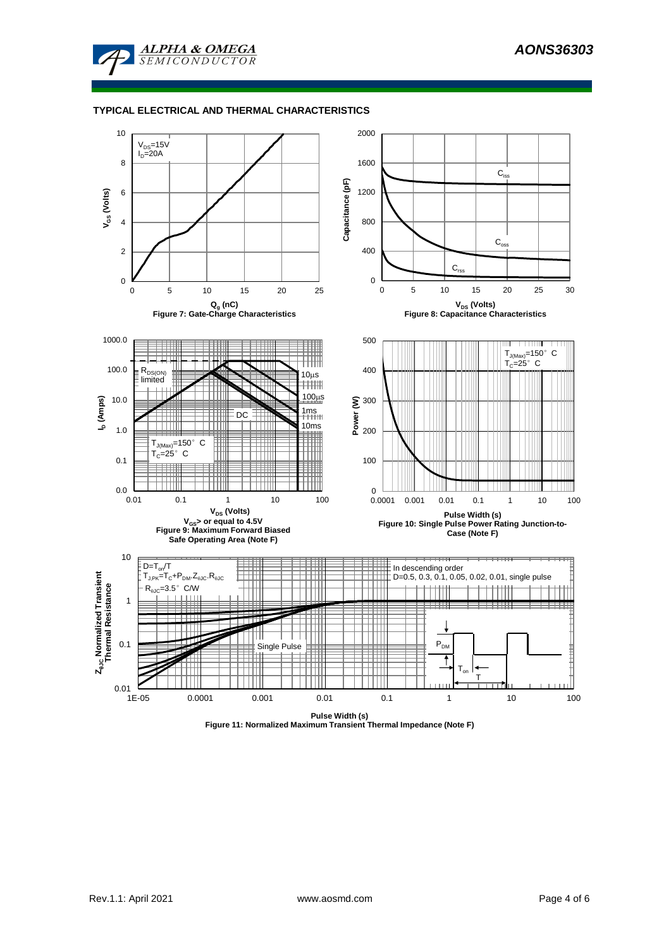

### **TYPICAL ELECTRICAL AND THERMAL CHARACTERISTICS**



**Figure 11: Normalized Maximum Transient Thermal Impedance (Note F)**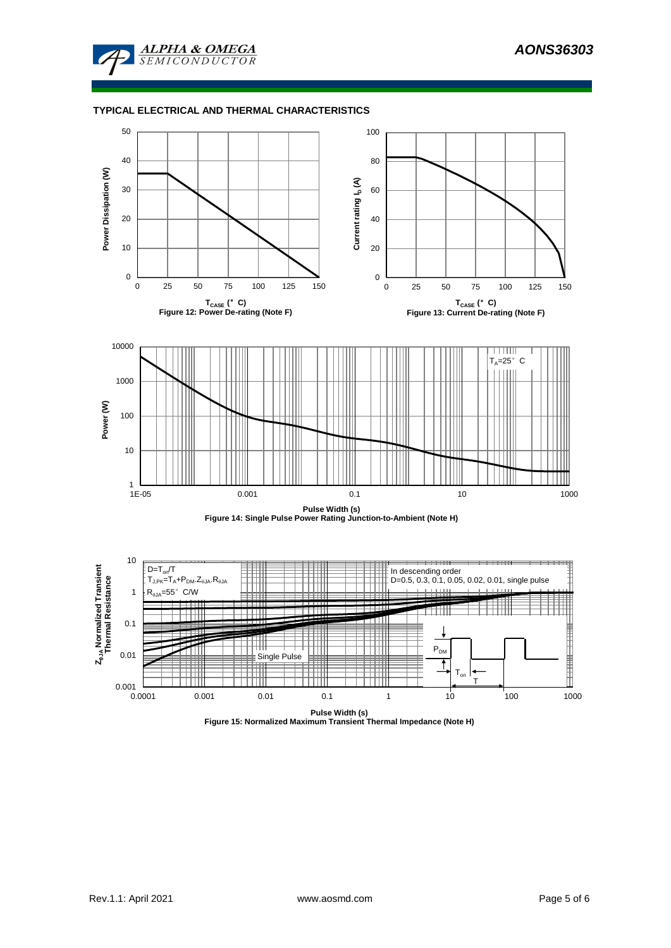

### **TYPICAL ELECTRICAL AND THERMAL CHARACTERISTICS**